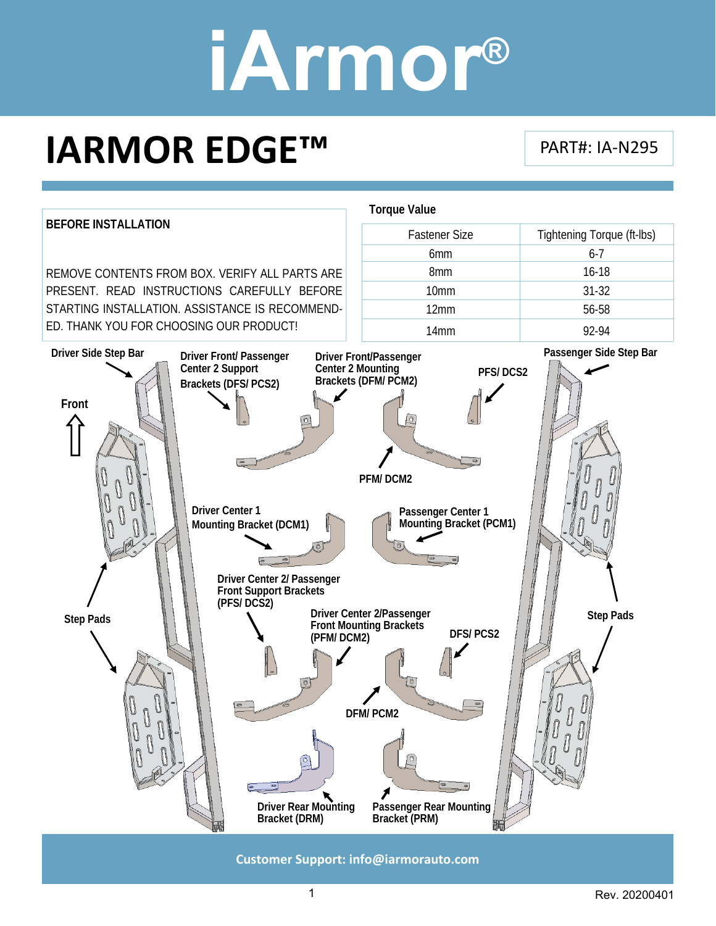### **IARMOR EDGE™**

PART#: IA‐N295



**Customer Support: info@iarmorauto.com** 

1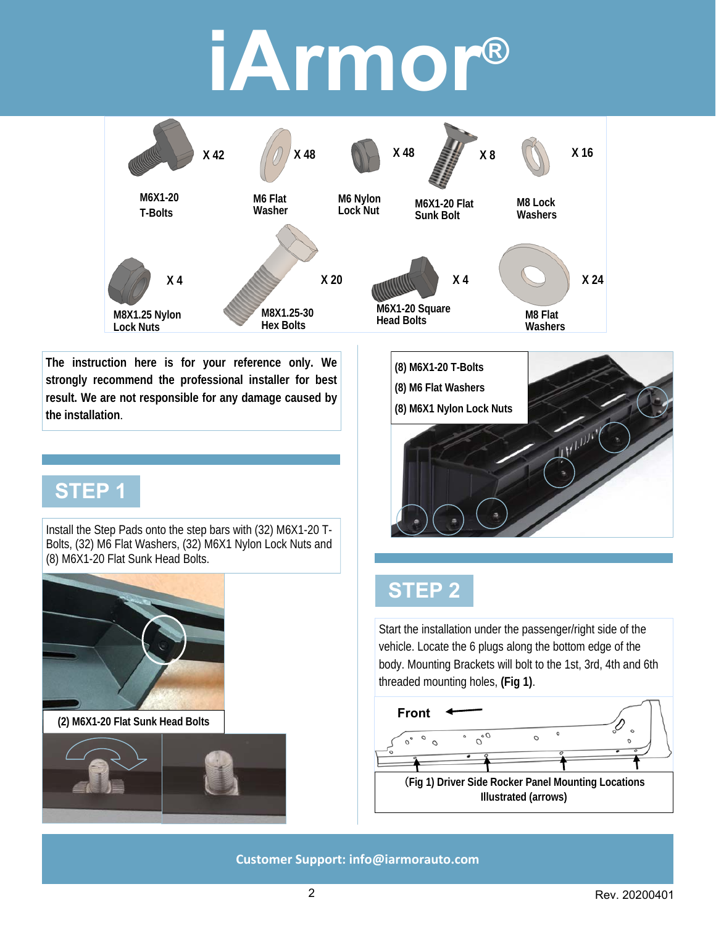

**The instruction here is for your reference only. We strongly recommend the professional installer for best result. We are not responsible for any damage caused by the installation**.

#### **STEP 1**

Install the Step Pads onto the step bars with (32) M6X1-20 T-Bolts, (32) M6 Flat Washers, (32) M6X1 Nylon Lock Nuts and (8) M6X1-20 Flat Sunk Head Bolts.



**(2) M6X1-20 Flat Sunk Head Bolts** 





#### **STEP 2**

Start the installation under the passenger/right side of the vehicle. Locate the 6 plugs along the bottom edge of the body. Mounting Brackets will bolt to the 1st, 3rd, 4th and 6th threaded mounting holes, **(Fig 1)**.

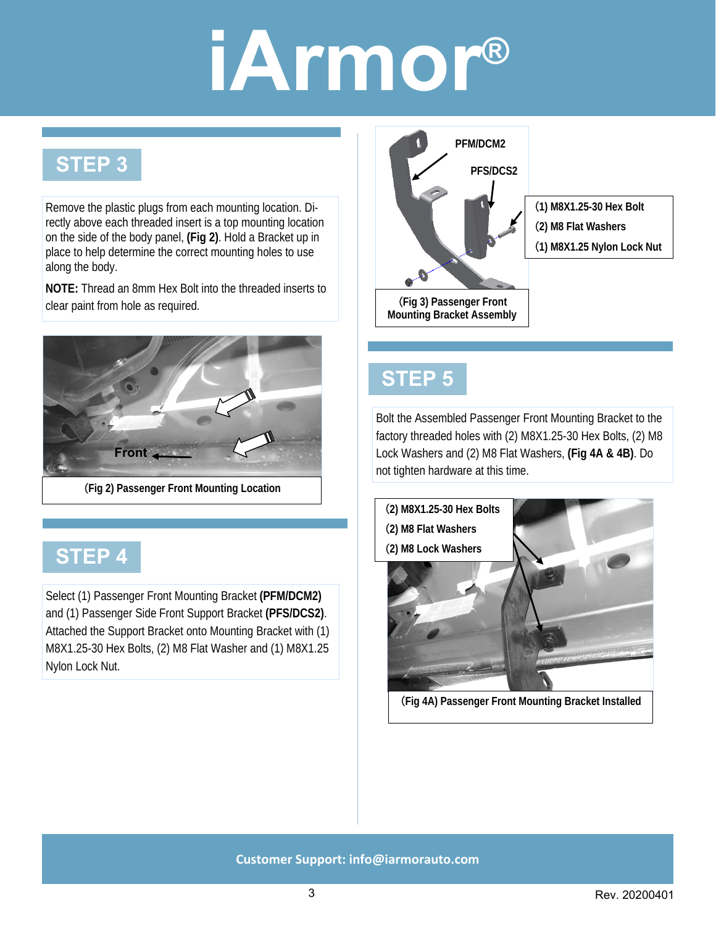#### **STEP 3**

Remove the plastic plugs from each mounting location. Directly above each threaded insert is a top mounting location on the side of the body panel, **(Fig 2)**. Hold a Bracket up in place to help determine the correct mounting holes to use along the body.

**NOTE:** Thread an 8mm Hex Bolt into the threaded inserts to clear paint from hole as required.



### **STEP 4**

Select (1) Passenger Front Mounting Bracket **(PFM/DCM2)**  and (1) Passenger Side Front Support Bracket **(PFS/DCS2)**. Attached the Support Bracket onto Mounting Bracket with (1) M8X1.25-30 Hex Bolts, (2) M8 Flat Washer and (1) M8X1.25 Nylon Lock Nut.



#### **STEP 5**

Bolt the Assembled Passenger Front Mounting Bracket to the factory threaded holes with (2) M8X1.25-30 Hex Bolts, (2) M8 Lock Washers and (2) M8 Flat Washers, **(Fig 4A & 4B)**. Do not tighten hardware at this time.



(**Fig 4A) Passenger Front Mounting Bracket Installed**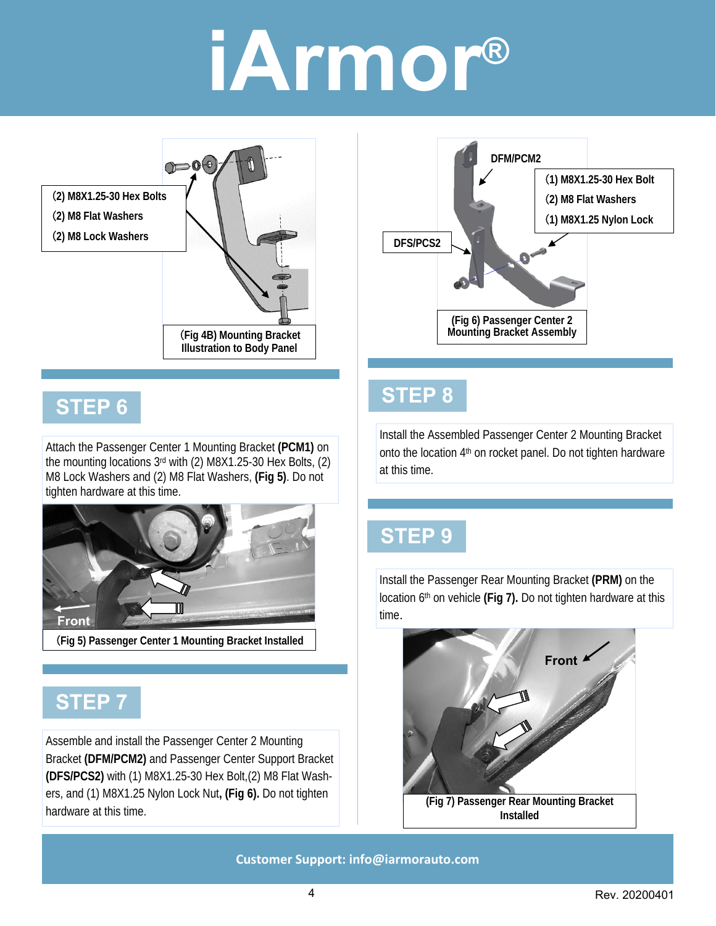



#### **STEP 6**

Attach the Passenger Center 1 Mounting Bracket **(PCM1)** on the mounting locations 3rd with (2) M8X1.25-30 Hex Bolts, (2) M8 Lock Washers and (2) M8 Flat Washers, **(Fig 5)**. Do not tighten hardware at this time.



(**Fig 5) Passenger Center 1 Mounting Bracket Installed** 

#### **STEP 7**

Assemble and install the Passenger Center 2 Mounting Bracket **(DFM/PCM2)** and Passenger Center Support Bracket **(DFS/PCS2)** with (1) M8X1.25-30 Hex Bolt,(2) M8 Flat Washers, and (1) M8X1.25 Nylon Lock Nut**, (Fig 6).** Do not tighten hardware at this time.

#### **STEP 8**

Install the Assembled Passenger Center 2 Mounting Bracket onto the location 4th on rocket panel. Do not tighten hardware at this time.

#### **STEP 9**

Install the Passenger Rear Mounting Bracket **(PRM)** on the location 6th on vehicle **(Fig 7).** Do not tighten hardware at this time.